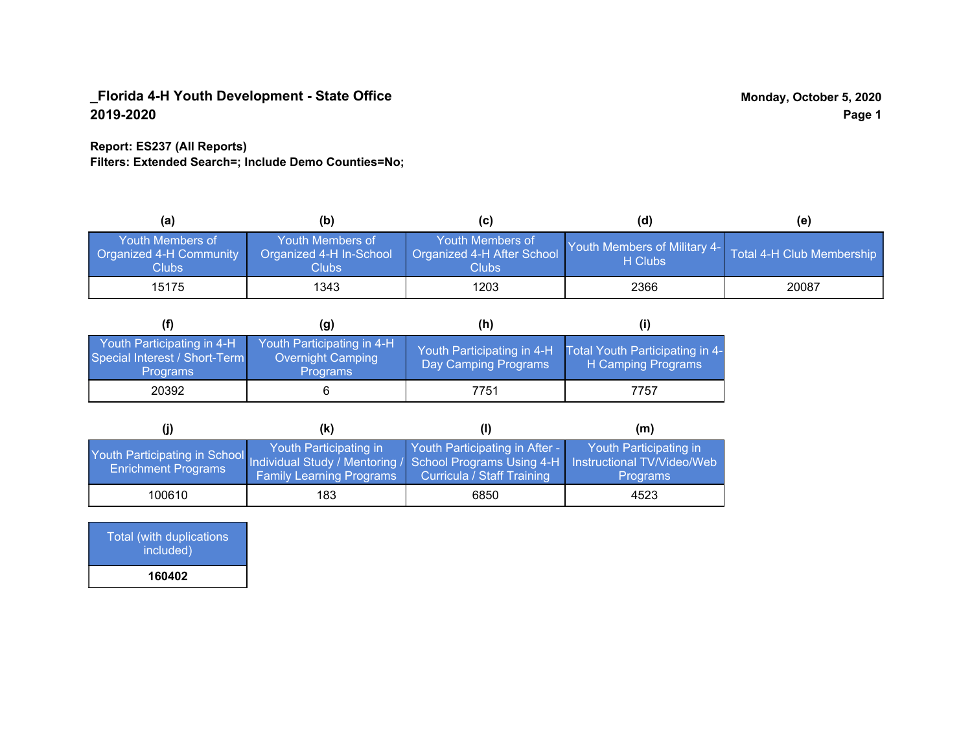## **Report: ES237 (All Reports)**

**Filters: Extended Search=; Include Demo Counties=No;**

| (a)                                                         | (b)                                                         | (C)                                                      | (d)                                             | (e)                       |
|-------------------------------------------------------------|-------------------------------------------------------------|----------------------------------------------------------|-------------------------------------------------|---------------------------|
| <b>Youth Members of</b><br>Organized 4-H Community<br>Clubs | <b>Youth Members of</b><br>Organized 4-H In-School<br>Clubs | Youth Members of<br>Organized 4-H After School<br>Clubs: | <b>Youth Members of Military 4-1</b><br>H Clubs | Total 4-H Club Membership |
| 15175                                                       | 1343                                                        | 1203                                                     | 2366                                            | 20087                     |

|                                                                                | (g)                                                                | (h)                                                |                                                       |
|--------------------------------------------------------------------------------|--------------------------------------------------------------------|----------------------------------------------------|-------------------------------------------------------|
| Youth Participating in 4-H<br>Special Interest / Short-Term<br><b>Programs</b> | Youth Participating in 4-H<br>Overnight Camping<br><b>Programs</b> | Youth Participating in 4-H<br>Day Camping Programs | Total Youth Participating in 4-<br>H Camping Programs |
| 20392                                                                          |                                                                    | 7751                                               | 7757                                                  |

|                                                                                                                                                 | (k)                                                       |                                                              | (m)                                       |
|-------------------------------------------------------------------------------------------------------------------------------------------------|-----------------------------------------------------------|--------------------------------------------------------------|-------------------------------------------|
| Youth Participating in School Individual Study / Mentoring / School Programs Using 4-H Instructional TV/Video/Web<br><b>Enrichment Programs</b> | Youth Participating in<br><b>Family Learning Programs</b> | Youth Participating in After -<br>Curricula / Staff Training | Youth Participating in<br><b>Programs</b> |
| 100610                                                                                                                                          | 183                                                       | 6850                                                         | 4523                                      |

Total (with duplications included) **160402**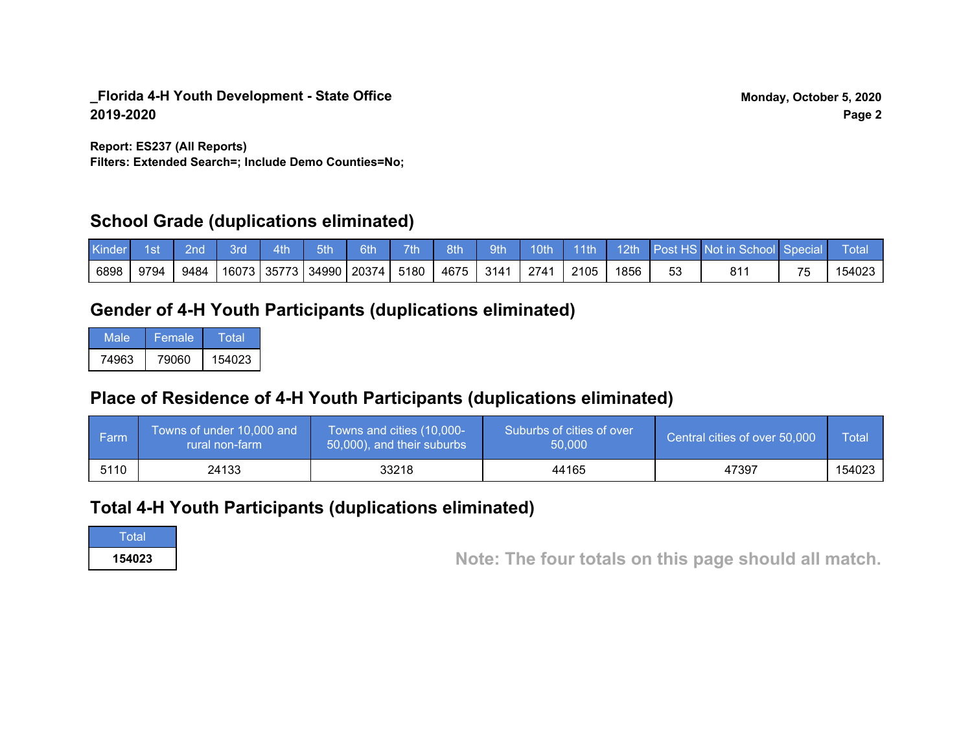**Filters: Extended Search=; Include Demo Counties=No; Report: ES237 (All Reports)**

# **School Grade (duplications eliminated)**

| <b>Kinder</b> | ⊟1st | $\blacksquare$ 2nd $\blacksquare$ | - 3rd | $\sim$ 4th $\sim$ | 5th                                  | $6th$ 7th | 8th                | 9th |      |      |    | 10th 11th 12th Post HS Not in School Special Total |           |        |
|---------------|------|-----------------------------------|-------|-------------------|--------------------------------------|-----------|--------------------|-----|------|------|----|----------------------------------------------------|-----------|--------|
| 6898          | 9794 | 9484                              |       |                   | 16073   35773   34990   20374   5180 |           | 4675   3141   2741 |     | 2105 | 1856 | 53 | 811                                                | <b>75</b> | 154023 |

# **Gender of 4-H Youth Participants (duplications eliminated)**

| Male  | Female | Total  |
|-------|--------|--------|
| 74963 | 79060  | 154023 |

# **Place of Residence of 4-H Youth Participants (duplications eliminated)**

| l Farm | Towns of under 10,000 and<br>rural non-farm | Towns and cities (10,000-<br>50,000), and their suburbs | Suburbs of cities of over<br>50.000 | Central cities of over 50,000 | Total  |
|--------|---------------------------------------------|---------------------------------------------------------|-------------------------------------|-------------------------------|--------|
| 5110   | 24133                                       | 33218                                                   | 44165                               | 47397                         | 154023 |

# **Total 4-H Youth Participants (duplications eliminated)**

**Total** 

**<sup>154023</sup> Note: The four totals on this page should all match.**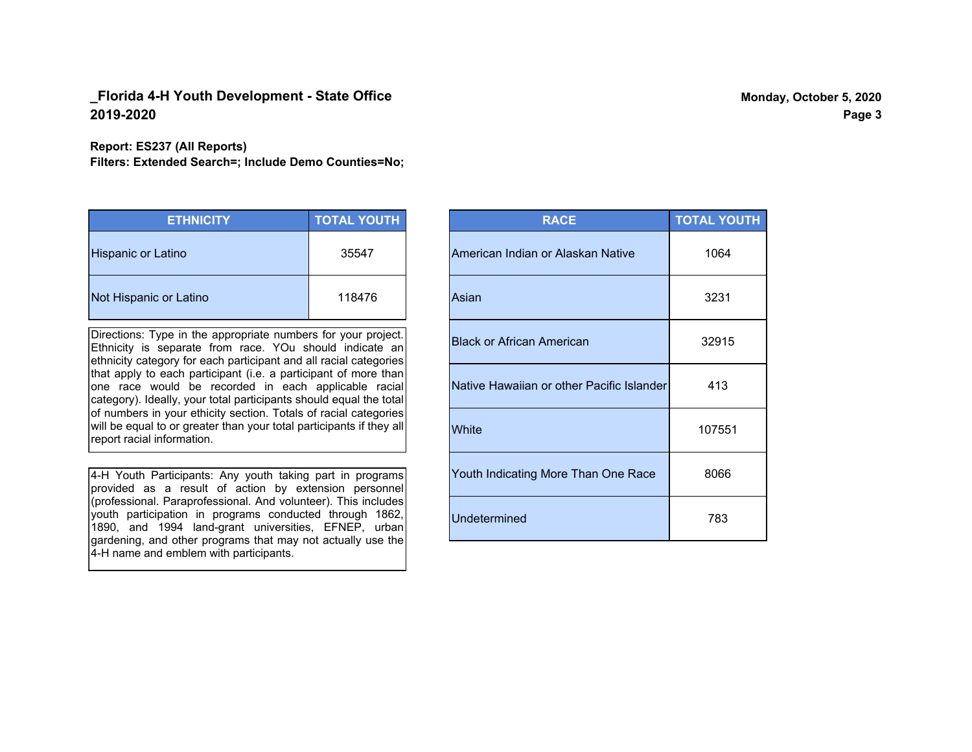#### **Report: ES237 (All Reports)**

**Filters: Extended Search=; Include Demo Counties=No;**

| <b>ETHNICITY</b>          | <b>TOTAL YOUTH</b> |
|---------------------------|--------------------|
| <b>Hispanic or Latino</b> | 35547              |
| Not Hispanic or Latino    | 118476             |

Directions: Type in the appropriate numbers for your project. Ethnicity is separate from race. YOu should indicate an ethnicity category for each participant and all racial categories that apply to each participant (i.e. a participant of more than one race would be recorded in each applicable racial category). Ideally, your total participants should equal the total of numbers in your ethicity section. Totals of racial categories will be equal to or greater than your total participants if they all report racial information.

4-H Youth Participants: Any youth taking part in programs provided as a result of action by extension personnel (professional. Paraprofessional. And volunteer). This includes youth participation in programs conducted through 1862, 1890, and 1994 land-grant universities, EFNEP, urban gardening, and other programs that may not actually use the 4-H name and emblem with participants.

| <b>RACE</b>                               | <b>TOTAL YOUTH</b> |
|-------------------------------------------|--------------------|
| American Indian or Alaskan Native         | 1064               |
| Asian                                     | 3231               |
| <b>Black or African American</b>          | 32915              |
| Native Hawaiian or other Pacific Islander | 413                |
| White                                     | 107551             |
| Youth Indicating More Than One Race       | 8066               |
| <b>Undetermined</b>                       | 783                |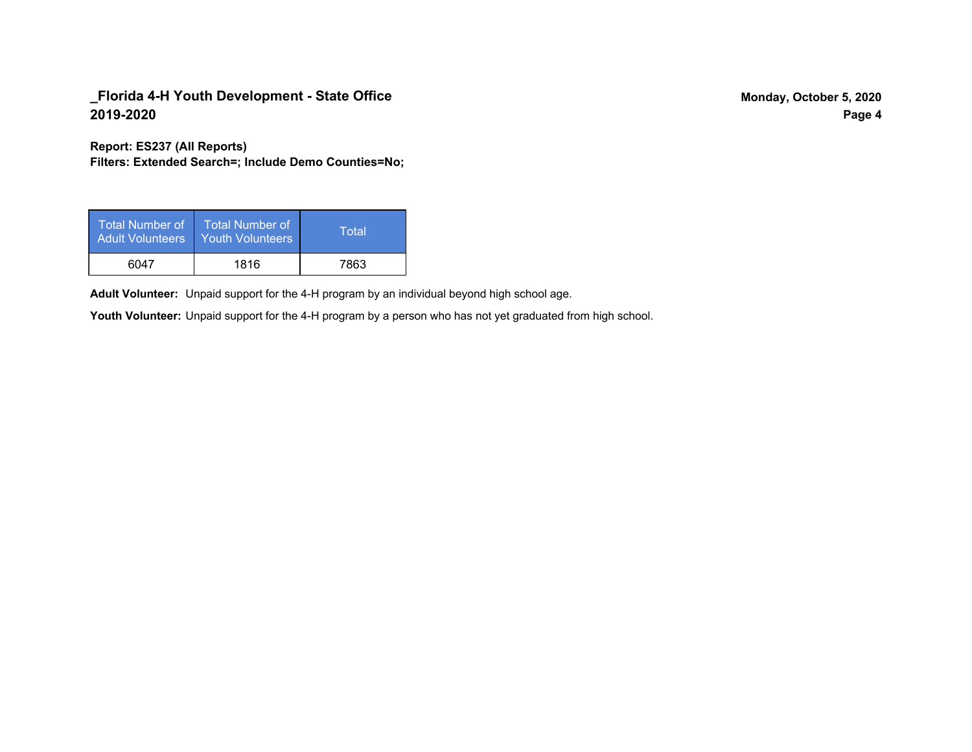**Report: ES237 (All Reports)**

**Filters: Extended Search=; Include Demo Counties=No;**

| <b>Total Number of</b><br><b>Adult Volunteers</b> | <b>Total Number of</b><br><b>Youth Volunteers</b> | Total |
|---------------------------------------------------|---------------------------------------------------|-------|
| 6047                                              | 1816                                              | 7863  |

Adult Volunteer: Unpaid support for the 4-H program by an individual beyond high school age.

Youth Volunteer: Unpaid support for the 4-H program by a person who has not yet graduated from high school.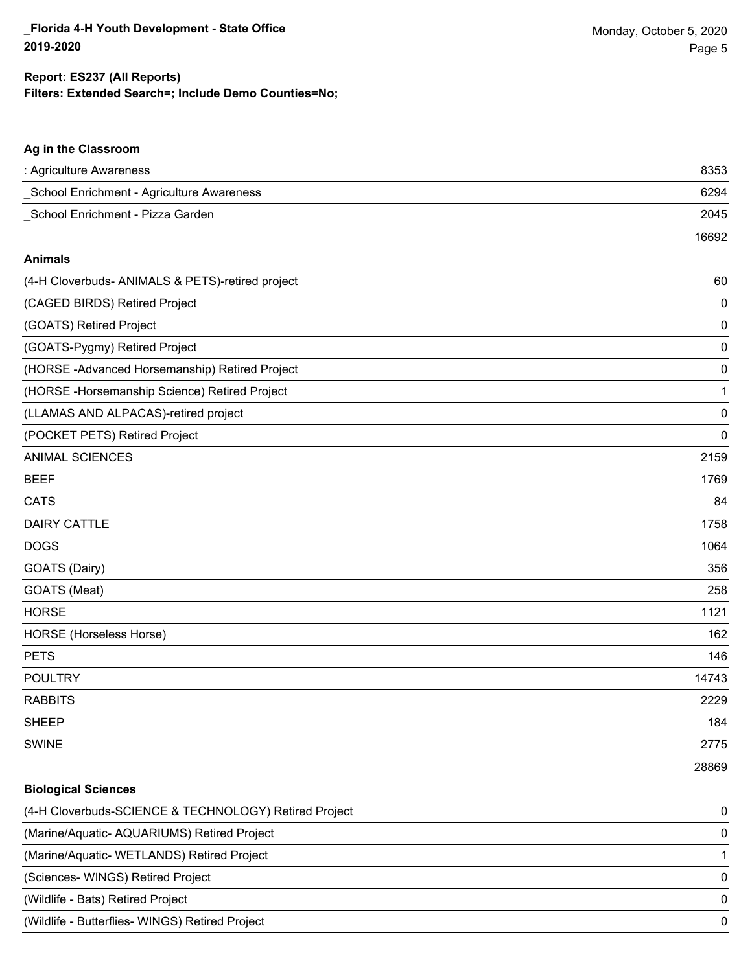### **Ag in the Classroom**

| School Enrichment - Agriculture Awareness             | 6294        |
|-------------------------------------------------------|-------------|
| School Enrichment - Pizza Garden                      | 2045        |
|                                                       | 16692       |
| <b>Animals</b>                                        |             |
| (4-H Cloverbuds- ANIMALS & PETS)-retired project      | 60          |
| (CAGED BIRDS) Retired Project                         | 0           |
| (GOATS) Retired Project                               | $\mathbf 0$ |
| (GOATS-Pygmy) Retired Project                         | $\mathbf 0$ |
| (HORSE-Advanced Horsemanship) Retired Project         | $\mathbf 0$ |
| (HORSE - Horsemanship Science) Retired Project        | 1           |
| (LLAMAS AND ALPACAS)-retired project                  | $\mathbf 0$ |
| (POCKET PETS) Retired Project                         | $\mathbf 0$ |
| <b>ANIMAL SCIENCES</b>                                | 2159        |
| <b>BEEF</b>                                           | 1769        |
| <b>CATS</b>                                           | 84          |
| <b>DAIRY CATTLE</b>                                   | 1758        |
| <b>DOGS</b>                                           | 1064        |
| GOATS (Dairy)                                         | 356         |
| GOATS (Meat)                                          | 258         |
| <b>HORSE</b>                                          | 1121        |
| HORSE (Horseless Horse)                               | 162         |
| <b>PETS</b>                                           | 146         |
| <b>POULTRY</b>                                        | 14743       |
| <b>RABBITS</b>                                        | 2229        |
| <b>SHEEP</b>                                          | 184         |
| <b>SWINE</b>                                          | 2775        |
|                                                       | 28869       |
| <b>Biological Sciences</b>                            |             |
| (4-H Cloverbuds-SCIENCE & TECHNOLOGY) Retired Project | 0           |
| (Marine/Aquatic- AQUARIUMS) Retired Project           | 0           |
| (Marine/Aquatic- WETLANDS) Retired Project            | 1           |
| (Sciences- WINGS) Retired Project                     | 0           |
| (Wildlife - Bats) Retired Project                     | 0           |
| (Wildlife - Butterflies- WINGS) Retired Project       | 0           |
|                                                       |             |

: Agriculture Awareness 8353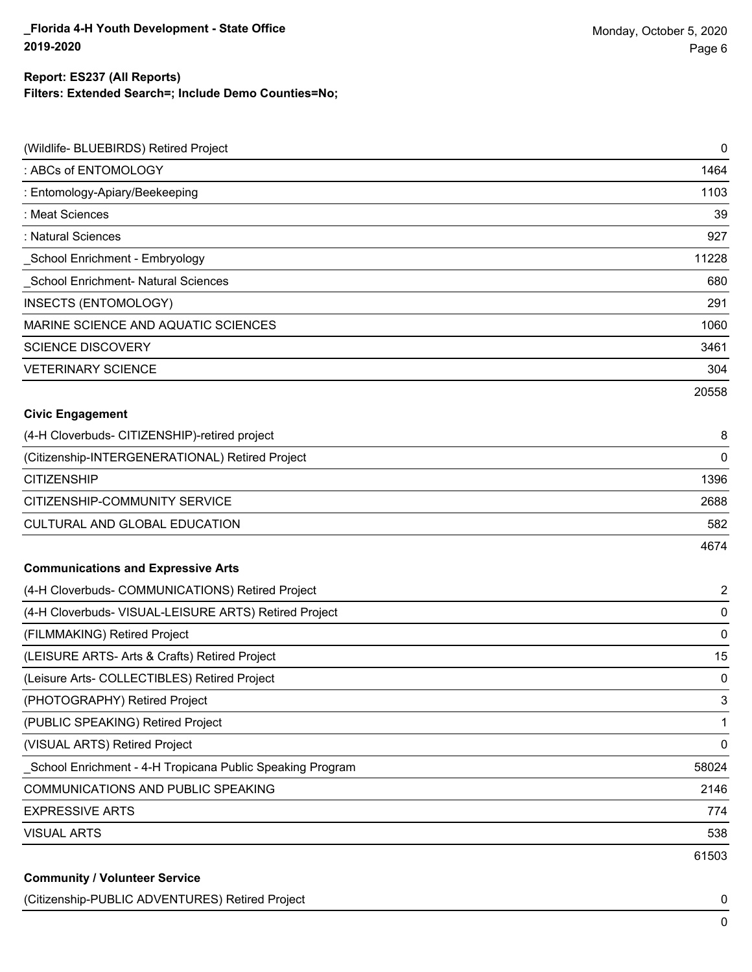| (Wildlife- BLUEBIRDS) Retired Project                     | $\mathbf 0$ |
|-----------------------------------------------------------|-------------|
| : ABCs of ENTOMOLOGY                                      | 1464        |
| : Entomology-Apiary/Beekeeping                            | 1103        |
| : Meat Sciences                                           | 39          |
| : Natural Sciences                                        | 927         |
| School Enrichment - Embryology                            | 11228       |
| School Enrichment- Natural Sciences                       | 680         |
| INSECTS (ENTOMOLOGY)                                      | 291         |
| MARINE SCIENCE AND AQUATIC SCIENCES                       | 1060        |
| <b>SCIENCE DISCOVERY</b>                                  | 3461        |
| <b>VETERINARY SCIENCE</b>                                 | 304         |
|                                                           | 20558       |
| <b>Civic Engagement</b>                                   |             |
| (4-H Cloverbuds- CITIZENSHIP)-retired project             | 8           |
| (Citizenship-INTERGENERATIONAL) Retired Project           | 0           |
| <b>CITIZENSHIP</b>                                        | 1396        |
| CITIZENSHIP-COMMUNITY SERVICE                             | 2688        |
| CULTURAL AND GLOBAL EDUCATION                             | 582         |
|                                                           | 4674        |
| <b>Communications and Expressive Arts</b>                 |             |
| (4-H Cloverbuds- COMMUNICATIONS) Retired Project          | 2           |
| (4-H Cloverbuds- VISUAL-LEISURE ARTS) Retired Project     | $\pmb{0}$   |
| (FILMMAKING) Retired Project                              | 0           |
| (LEISURE ARTS- Arts & Crafts) Retired Project             | 15          |
| (Leisure Arts- COLLECTIBLES) Retired Project              | 0           |
| (PHOTOGRAPHY) Retired Project                             | 3           |
| (PUBLIC SPEAKING) Retired Project                         | 1           |
| (VISUAL ARTS) Retired Project                             | 0           |
| School Enrichment - 4-H Tropicana Public Speaking Program | 58024       |
| COMMUNICATIONS AND PUBLIC SPEAKING                        | 2146        |
| <b>EXPRESSIVE ARTS</b>                                    | 774         |
| <b>VISUAL ARTS</b>                                        | 538         |
|                                                           | 61503       |
| <b>Community / Volunteer Service</b>                      |             |

### (Citizenship-PUBLIC ADVENTURES) Retired Project 0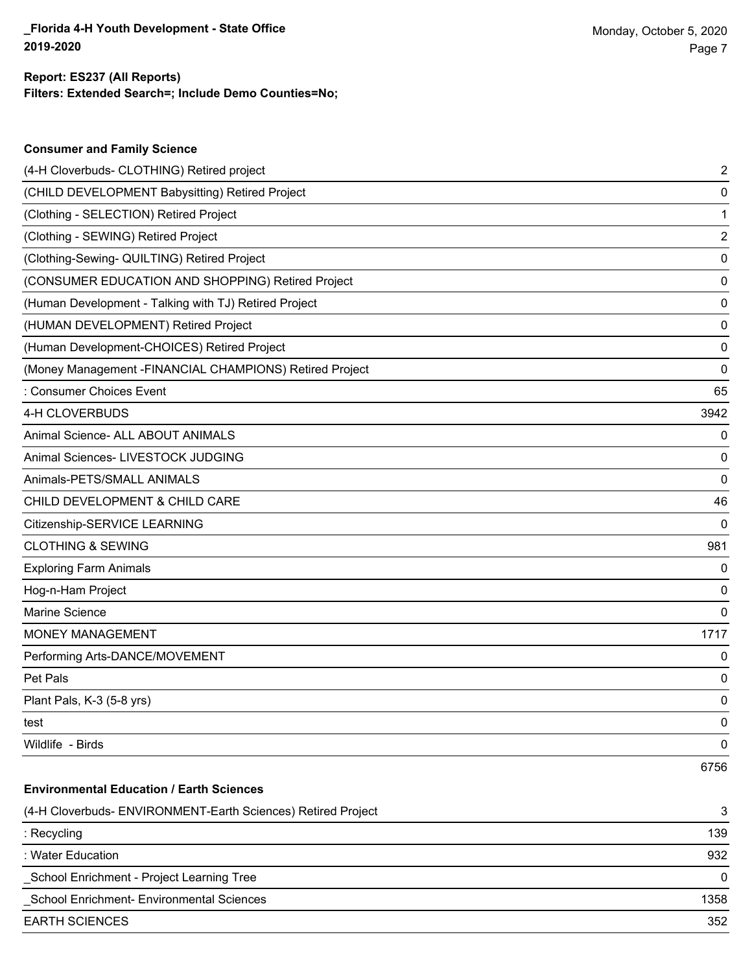| <b>Consumer and Family Science</b>                           |          |
|--------------------------------------------------------------|----------|
| (4-H Cloverbuds- CLOTHING) Retired project                   | 2        |
| (CHILD DEVELOPMENT Babysitting) Retired Project              | 0        |
| (Clothing - SELECTION) Retired Project                       | 1        |
| (Clothing - SEWING) Retired Project                          | 2        |
| (Clothing-Sewing- QUILTING) Retired Project                  | 0        |
| (CONSUMER EDUCATION AND SHOPPING) Retired Project            | 0        |
| (Human Development - Talking with TJ) Retired Project        | 0        |
| (HUMAN DEVELOPMENT) Retired Project                          | 0        |
| (Human Development-CHOICES) Retired Project                  | 0        |
| (Money Management - FINANCIAL CHAMPIONS) Retired Project     | 0        |
| : Consumer Choices Event                                     | 65       |
| 4-H CLOVERBUDS                                               | 3942     |
| Animal Science- ALL ABOUT ANIMALS                            | 0        |
| Animal Sciences- LIVESTOCK JUDGING                           | 0        |
| Animals-PETS/SMALL ANIMALS                                   | 0        |
| CHILD DEVELOPMENT & CHILD CARE                               | 46       |
| Citizenship-SERVICE LEARNING                                 | $\Omega$ |
| <b>CLOTHING &amp; SEWING</b>                                 | 981      |
| <b>Exploring Farm Animals</b>                                | 0        |
| Hog-n-Ham Project                                            | 0        |
| <b>Marine Science</b>                                        | $\Omega$ |
| <b>MONEY MANAGEMENT</b>                                      | 1717     |
| Performing Arts-DANCE/MOVEMENT                               | 0        |
| Pet Pals                                                     | 0        |
| Plant Pals, K-3 (5-8 yrs)                                    | 0        |
| test                                                         | 0        |
| Wildlife - Birds                                             | 0        |
|                                                              | 6756     |
| <b>Environmental Education / Earth Sciences</b>              |          |
| (4-H Cloverbuds- ENVIRONMENT-Earth Sciences) Retired Project | 3        |
| : Recycling                                                  | 139      |
| : Water Education                                            | 932      |

\_School Enrichment - Project Learning Tree 0

\_School Enrichment- Environmental Sciences 1358

EARTH SCIENCES 352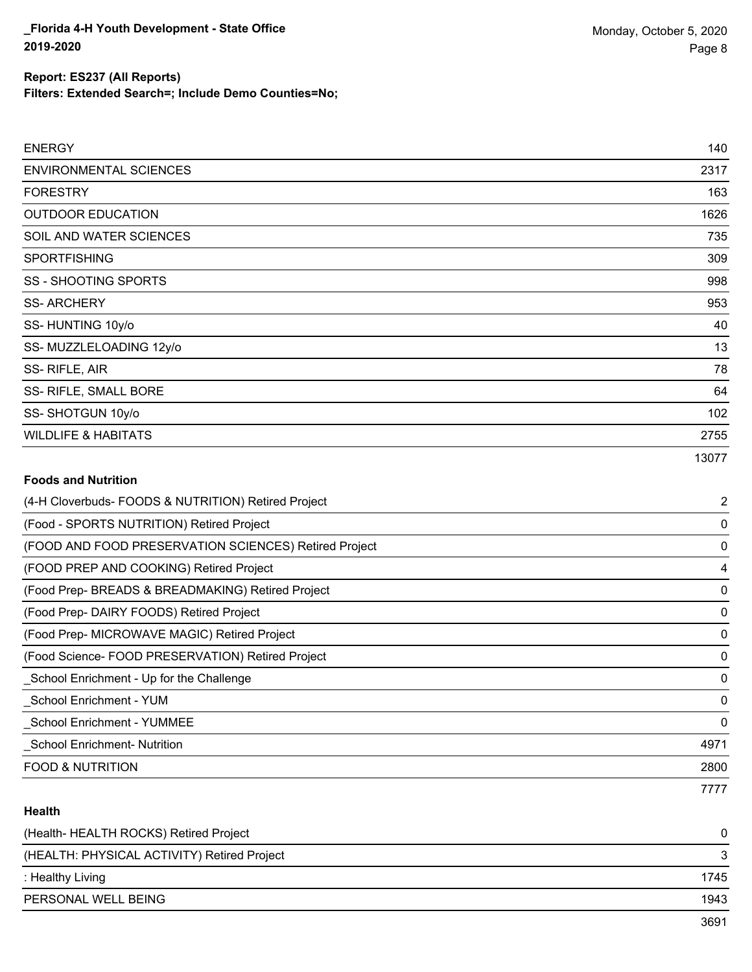| <b>ENERGY</b>                  | 140   |
|--------------------------------|-------|
| <b>ENVIRONMENTAL SCIENCES</b>  | 2317  |
| <b>FORESTRY</b>                | 163   |
| <b>OUTDOOR EDUCATION</b>       | 1626  |
| SOIL AND WATER SCIENCES        | 735   |
| <b>SPORTFISHING</b>            | 309   |
| <b>SS - SHOOTING SPORTS</b>    | 998   |
| <b>SS-ARCHERY</b>              | 953   |
| SS-HUNTING 10y/o               | 40    |
| SS-MUZZLELOADING 12y/o         | 13    |
| SS-RIFLE, AIR                  | 78    |
| SS- RIFLE, SMALL BORE          | 64    |
| SS-SHOTGUN 10y/o               | 102   |
| <b>WILDLIFE &amp; HABITATS</b> | 2755  |
|                                | 13077 |
| <b>Foods and Nutrition</b>     |       |

| (4-H Cloverbuds- FOODS & NUTRITION) Retired Project   | $\overline{2}$ |
|-------------------------------------------------------|----------------|
| (Food - SPORTS NUTRITION) Retired Project             | 0              |
| (FOOD AND FOOD PRESERVATION SCIENCES) Retired Project | 0              |
| (FOOD PREP AND COOKING) Retired Project               | 4              |
| (Food Prep- BREADS & BREADMAKING) Retired Project     | 0              |
| (Food Prep- DAIRY FOODS) Retired Project              | 0              |
| (Food Prep- MICROWAVE MAGIC) Retired Project          | 0              |
| (Food Science-FOOD PRESERVATION) Retired Project      | 0              |
| School Enrichment - Up for the Challenge              | 0              |
| School Enrichment - YUM                               | 0              |
| _School Enrichment - YUMMEE                           | 0              |
| <b>School Enrichment- Nutrition</b>                   | 4971           |
| <b>FOOD &amp; NUTRITION</b>                           | 2800           |
|                                                       | 7777           |

## **Health**

| (Health-HEALTH ROCKS) Retired Project       | 0    |
|---------------------------------------------|------|
| (HEALTH: PHYSICAL ACTIVITY) Retired Project |      |
| : Healthy Living                            | 1745 |
| PERSONAL WELL BEING                         | 1943 |
|                                             | 2601 |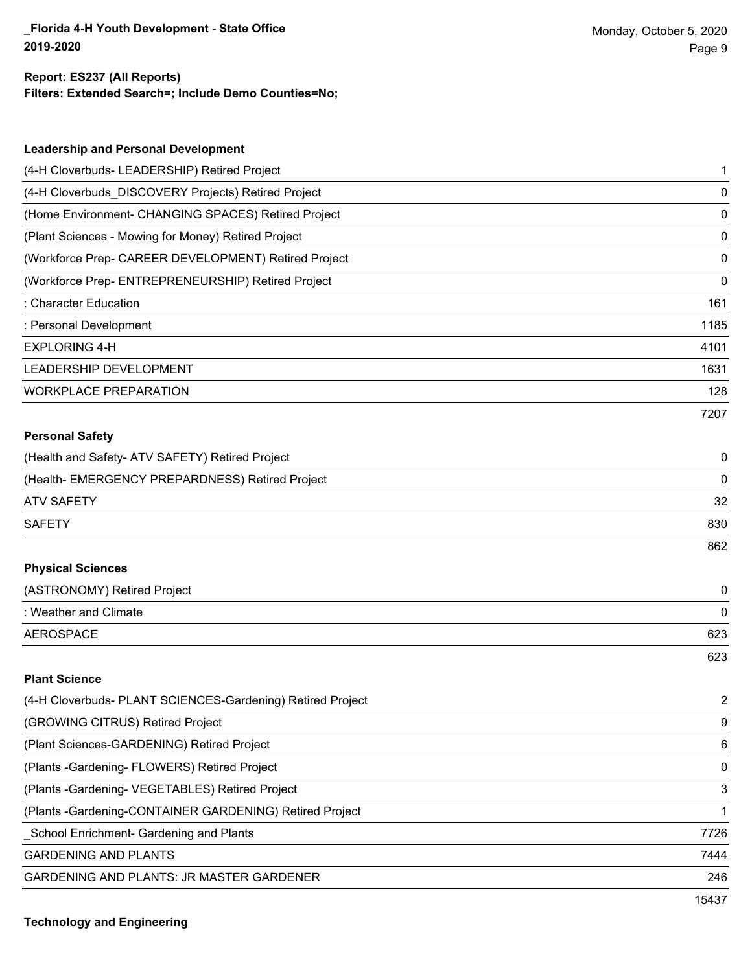| <b>Leadership and Personal Development</b>                 |      |
|------------------------------------------------------------|------|
| (4-H Cloverbuds- LEADERSHIP) Retired Project               | 1    |
| (4-H Cloverbuds_DISCOVERY Projects) Retired Project        | 0    |
| (Home Environment- CHANGING SPACES) Retired Project        | 0    |
| (Plant Sciences - Mowing for Money) Retired Project        | 0    |
| (Workforce Prep- CAREER DEVELOPMENT) Retired Project       | 0    |
| (Workforce Prep- ENTREPRENEURSHIP) Retired Project         | 0    |
| : Character Education                                      | 161  |
| : Personal Development                                     | 1185 |
| <b>EXPLORING 4-H</b>                                       | 4101 |
| LEADERSHIP DEVELOPMENT                                     | 1631 |
| <b>WORKPLACE PREPARATION</b>                               | 128  |
|                                                            | 7207 |
| <b>Personal Safety</b>                                     |      |
| (Health and Safety- ATV SAFETY) Retired Project            | 0    |
| (Health- EMERGENCY PREPARDNESS) Retired Project            | 0    |
| <b>ATV SAFETY</b>                                          | 32   |
| <b>SAFETY</b>                                              | 830  |
|                                                            | 862  |
| <b>Physical Sciences</b>                                   |      |
| (ASTRONOMY) Retired Project                                | 0    |
| : Weather and Climate                                      | 0    |
| <b>AEROSPACE</b>                                           | 623  |
|                                                            | 623  |
| <b>Plant Science</b>                                       |      |
| (4-H Cloverbuds- PLANT SCIENCES-Gardening) Retired Project | 2    |
| (GROWING CITRUS) Retired Project                           | 9    |
| (Plant Sciences-GARDENING) Retired Project                 | 6    |
| (Plants - Gardening - FLOWERS) Retired Project             | 0    |
| (Plants - Gardening - VEGETABLES) Retired Project          | 3    |
| (Plants - Gardening-CONTAINER GARDENING) Retired Project   | 1    |
| School Enrichment- Gardening and Plants                    | 7726 |
| <b>GARDENING AND PLANTS</b>                                | 7444 |
| GARDENING AND PLANTS: JR MASTER GARDENER                   | 246  |